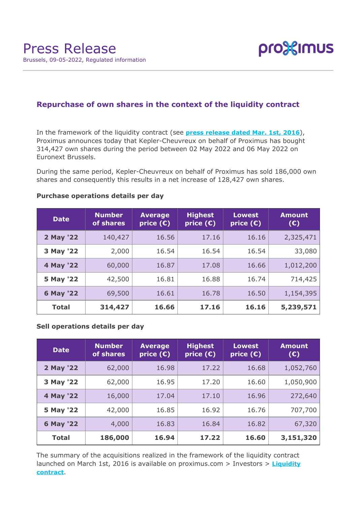

# **Repurchase of own shares in the context of the liquidity contract**

In the framework of the liquidity contract (see **[press release dated Mar. 1st, 2016](https://www.proximus.com/news/2016/proximus-enters-liquidity-contract.html)**), Proximus announces today that Kepler-Cheuvreux on behalf of Proximus has bought 314,427 own shares during the period between 02 May 2022 and 06 May 2022 on Euronext Brussels.

During the same period, Kepler-Cheuvreux on behalf of Proximus has sold 186,000 own shares and consequently this results in a net increase of 128,427 own shares.

| <b>Date</b>  | <b>Number</b><br>of shares | <b>Average</b><br>price $(E)$ | <b>Highest</b><br>price $(E)$ | <b>Lowest</b><br>price $(\epsilon)$ | <b>Amount</b><br>(E) |
|--------------|----------------------------|-------------------------------|-------------------------------|-------------------------------------|----------------------|
| 2 May '22    | 140,427                    | 16.56                         | 17.16                         | 16.16                               | 2,325,471            |
| 3 May '22    | 2,000                      | 16.54                         | 16.54                         | 16.54                               | 33,080               |
| 4 May '22    | 60,000                     | 16.87                         | 17.08                         | 16.66                               | 1,012,200            |
| 5 May '22    | 42,500                     | 16.81                         | 16.88                         | 16.74                               | 714,425              |
| 6 May '22    | 69,500                     | 16.61                         | 16.78                         | 16.50                               | 1,154,395            |
| <b>Total</b> | 314,427                    | 16.66                         | 17.16                         | 16.16                               | 5,239,571            |

### **Purchase operations details per day**

### **Sell operations details per day**

| <b>Date</b>  | <b>Number</b><br>of shares | <b>Average</b><br>price $(\bar{\mathbf{c}})$ | <b>Highest</b><br>price $(E)$ | <b>Lowest</b><br>price $(E)$ | <b>Amount</b><br>(E) |
|--------------|----------------------------|----------------------------------------------|-------------------------------|------------------------------|----------------------|
| 2 May '22    | 62,000                     | 16.98                                        | 17.22                         | 16.68                        | 1,052,760            |
| 3 May '22    | 62,000                     | 16.95                                        | 17.20                         | 16.60                        | 1,050,900            |
| 4 May '22    | 16,000                     | 17.04                                        | 17.10                         | 16.96                        | 272,640              |
| 5 May '22    | 42,000                     | 16.85                                        | 16.92                         | 16.76                        | 707,700              |
| 6 May '22    | 4,000                      | 16.83                                        | 16.84                         | 16.82                        | 67,320               |
| <b>Total</b> | 186,000                    | 16.94                                        | 17.22                         | 16.60                        | 3,151,320            |

The summary of the acquisitions realized in the framework of the liquidity contract launched on March 1st, 2016 is available on proximus.com > Investors > **[Liquidity](https://www.proximus.com/en/investors/liquidity-contract.html) [contract](https://www.proximus.com/en/investors/liquidity-contract.html)**.